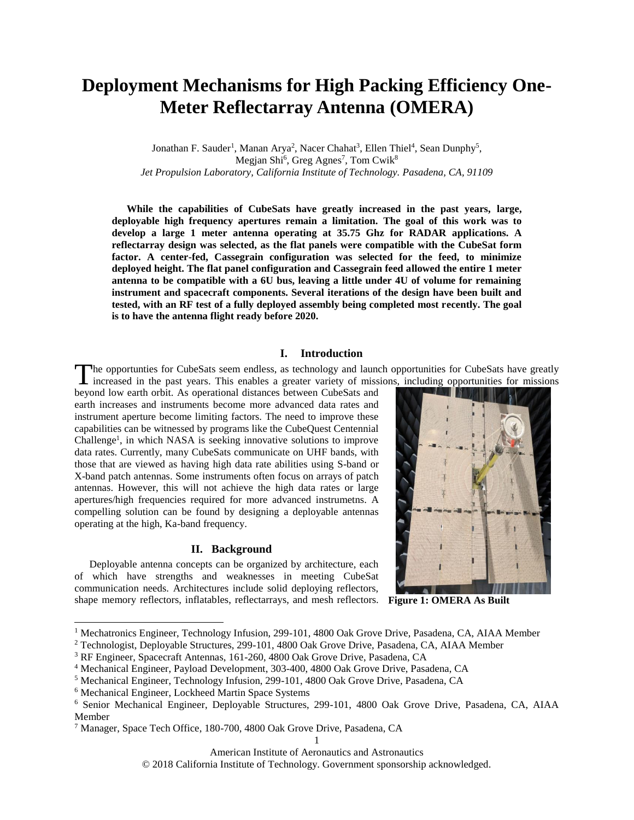# **Deployment Mechanisms for High Packing Efficiency One-Meter Reflectarray Antenna (OMERA)**

Jonathan F. Sauder<sup>1</sup>, Manan Arya<sup>2</sup>, Nacer Chahat<sup>3</sup>, Ellen Thiel<sup>4</sup>, Sean Dunphy<sup>5</sup>, Megjan Shi<sup>6</sup>, Greg Agnes<sup>7</sup>, Tom Cwik<sup>8</sup> *Jet Propulsion Laboratory, California Institute of Technology. Pasadena, CA, 91109*

**While the capabilities of CubeSats have greatly increased in the past years, large, deployable high frequency apertures remain a limitation. The goal of this work was to develop a large 1 meter antenna operating at 35.75 Ghz for RADAR applications. A reflectarray design was selected, as the flat panels were compatible with the CubeSat form factor. A center-fed, Cassegrain configuration was selected for the feed, to minimize deployed height. The flat panel configuration and Cassegrain feed allowed the entire 1 meter antenna to be compatible with a 6U bus, leaving a little under 4U of volume for remaining instrument and spacecraft components. Several iterations of the design have been built and tested, with an RF test of a fully deployed assembly being completed most recently. The goal is to have the antenna flight ready before 2020.** 

### **I. Introduction**

The opportunties for CubeSats seem endless, as technology and launch opportunities for CubeSats have greatly increased in the past years. This enables a greater variety of missions, including opportunities for missions The opportunties for CubeSats seem endless, as technology and launc<br>increased in the past years. This enables a greater variety of missi<br>beyond low earth orbit. As operational distances between CubeSats and

earth increases and instruments become more advanced data rates and instrument aperture become limiting factors. The need to improve these capabilities can be witnessed by programs like the CubeQuest Centennial Challenge<sup>1</sup>, in which NASA is seeking innovative solutions to improve data rates. Currently, many CubeSats communicate on UHF bands, with those that are viewed as having high data rate abilities using S-band or X-band patch antennas. Some instruments often focus on arrays of patch antennas. However, this will not achieve the high data rates or large apertures/high frequencies required for more advanced instrumetns. A compelling solution can be found by designing a deployable antennas operating at the high, Ka-band frequency.

### **II. Background**

Deployable antenna concepts can be organized by architecture, each of which have strengths and weaknesses in meeting CubeSat communication needs. Architectures include solid deploying reflectors, shape memory reflectors, inflatables, reflectarrays, and mesh reflectors.



**Figure 1: OMERA As Built**

 $\overline{a}$ 

American Institute of Aeronautics and Astronautics 1

© 2018 California Institute of Technology. Government sponsorship acknowledged.

<sup>&</sup>lt;sup>1</sup> Mechatronics Engineer, Technology Infusion, 299-101, 4800 Oak Grove Drive, Pasadena, CA, AIAA Member

<sup>2</sup> Technologist, Deployable Structures, 299-101, 4800 Oak Grove Drive, Pasadena, CA, AIAA Member

<sup>3</sup> RF Engineer, Spacecraft Antennas, 161-260, 4800 Oak Grove Drive, Pasadena, CA

<sup>4</sup> Mechanical Engineer, Payload Development, 303-400, 4800 Oak Grove Drive, Pasadena, CA

<sup>5</sup> Mechanical Engineer, Technology Infusion, 299-101, 4800 Oak Grove Drive, Pasadena, CA

<sup>6</sup> Mechanical Engineer, Lockheed Martin Space Systems

<sup>6</sup> Senior Mechanical Engineer, Deployable Structures, 299-101, 4800 Oak Grove Drive, Pasadena, CA, AIAA Member

<sup>7</sup> Manager, Space Tech Office, 180-700, 4800 Oak Grove Drive, Pasadena, CA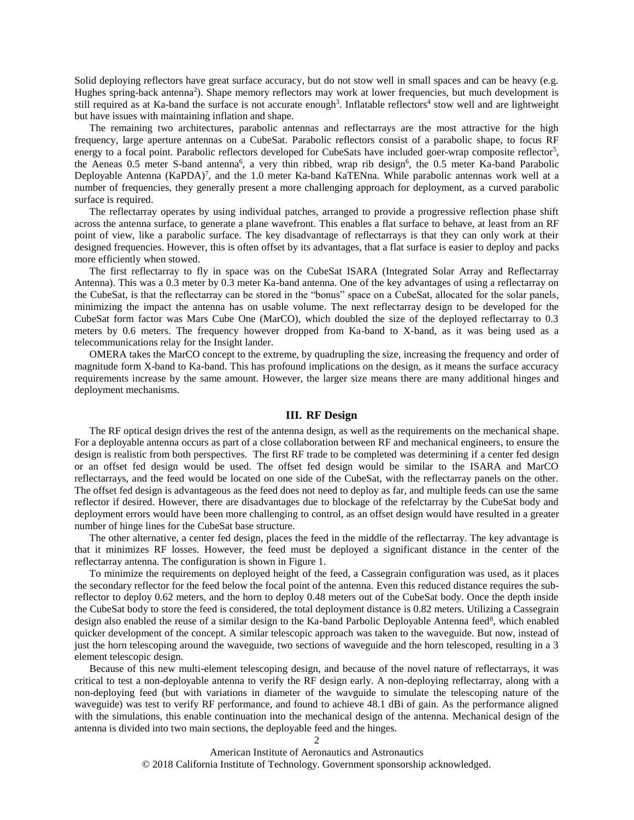Solid deploying reflectors have great surface accuracy, but do not stow well in small spaces and can be heavy (e.g. Hughes spring-back antenna<sup>2</sup>). Shape memory reflectors may work at lower frequencies, but much development is still required as at Ka-band the surface is not accurate enough<sup>3</sup>. Inflatable reflectors<sup>4</sup> stow well and are lightweight but have issues with maintaining inflation and shape.

The remaining two architectures, parabolic antennas and reflectarrays are the most attractive for the high frequency, large aperture antennas on a CubeSat. Parabolic reflectors consist of a parabolic shape, to focus RF energy to a focal point. Parabolic reflectors developed for CubeSats have included goer-wrap composite reflector<sup>5</sup>, the Aeneas 0.5 meter S-band antenna<sup>6</sup>, a very thin ribbed, wrap rib design<sup>6</sup>, the 0.5 meter Ka-band Parabolic Deployable Antenna (KaPDA)<sup>7</sup>, and the 1.0 meter Ka-band KaTENna. While parabolic antennas work well at a number of frequencies, they generally present a more challenging approach for deployment, as a curved parabolic surface is required.

The reflectarray operates by using individual patches, arranged to provide a progressive reflection phase shift across the antenna surface, to generate a plane wavefront. This enables a flat surface to behave, at least from an RF point of view, like a parabolic surface. The key disadvantage of reflectarrays is that they can only work at their designed frequencies. However, this is often offset by its advantages, that a flat surface is easier to deploy and packs more efficiently when stowed.

The first reflectarray to fly in space was on the CubeSat ISARA (Integrated Solar Array and Reflectarray Antenna). This was a 0.3 meter by 0.3 meter Ka-band antenna. One of the key advantages of using a reflectarray on the CubeSat, is that the reflectarray can be stored in the "bonus" space on a CubeSat, allocated for the solar panels, minimizing the impact the antenna has on usable volume. The next reflectarray design to be developed for the CubeSat form factor was Mars Cube One (MarCO), which doubled the size of the deployed reflectarray to 0.3 meters by 0.6 meters. The frequency however dropped from Ka-band to X-band, as it was being used as a telecommunications relay for the Insight lander.

OMERA takes the MarCO concept to the extreme, by quadrupling the size, increasing the frequency and order of magnitude form X-band to Ka-band. This has profound implications on the design, as it means the surface accuracy requirements increase by the same amount. However, the larger size means there are many additional hinges and deployment mechanisms.

# **III. RF Design**

The RF optical design drives the rest of the antenna design, as well as the requirements on the mechanical shape. For a deployable antenna occurs as part of a close collaboration between RF and mechanical engineers, to ensure the design is realistic from both perspectives. The first RF trade to be completed was determining if a center fed design or an offset fed design would be used. The offset fed design would be similar to the ISARA and MarCO reflectarrays, and the feed would be located on one side of the CubeSat, with the reflectarray panels on the other. The offset fed design is advantageous as the feed does not need to deploy as far, and multiple feeds can use the same reflector if desired. However, there are disadvantages due to blockage of the refelctarray by the CubeSat body and deployment errors would have been more challenging to control, as an offset design would have resulted in a greater number of hinge lines for the CubeSat base structure.

The other alternative, a center fed design, places the feed in the middle of the reflectarray. The key advantage is that it minimizes RF losses. However, the feed must be deployed a significant distance in the center of the reflectarray antenna. The configuration is shown in Figure 1.

To minimize the requirements on deployed height of the feed, a Cassegrain configuration was used, as it places the secondary reflector for the feed below the focal point of the antenna. Even this reduced distance requires the subreflector to deploy 0.62 meters, and the horn to deploy 0.48 meters out of the CubeSat body. Once the depth inside the CubeSat body to store the feed is considered, the total deployment distance is 0.82 meters. Utilizing a Cassegrain design also enabled the reuse of a similar design to the Ka-band Parbolic Deployable Antenna feed<sup>8</sup>, which enabled quicker development of the concept. A similar telescopic approach was taken to the waveguide. But now, instead of just the horn telescoping around the waveguide, two sections of waveguide and the horn telescoped, resulting in a 3 element telescopic design.

Because of this new multi-element telescoping design, and because of the novel nature of reflectarrays, it was critical to test a non-deployable antenna to verify the RF design early. A non-deploying reflectarray, along with a non-deploying feed (but with variations in diameter of the wavguide to simulate the telescoping nature of the waveguide) was test to verify RF performance, and found to achieve 48.1 dBi of gain. As the performance aligned with the simulations, this enable continuation into the mechanical design of the antenna. Mechanical design of the antenna is divided into two main sections, the deployable feed and the hinges.

> American Institute of Aeronautics and Astronautics © 2018 California Institute of Technology. Government sponsorship acknowledged.

 $\mathcal{L}$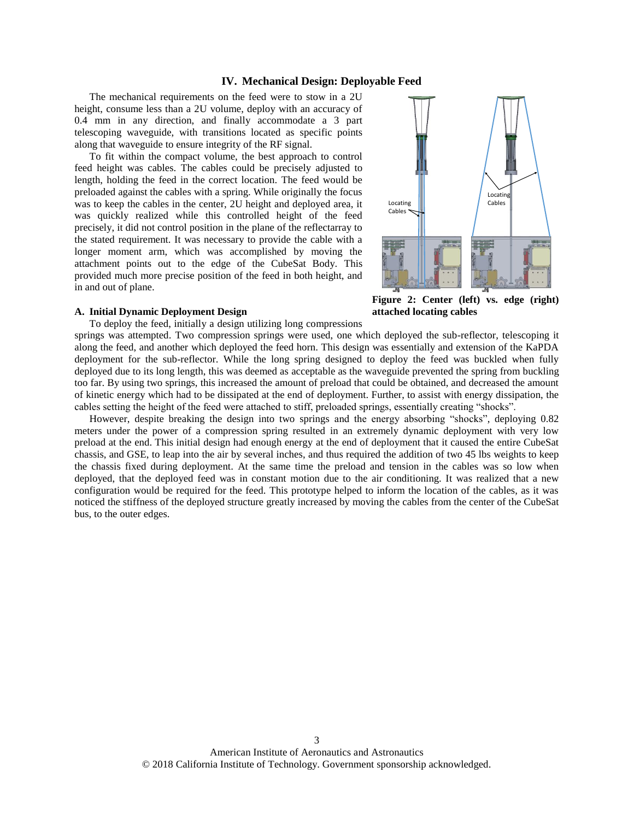# **IV. Mechanical Design: Deployable Feed**

The mechanical requirements on the feed were to stow in a 2U height, consume less than a 2U volume, deploy with an accuracy of 0.4 mm in any direction, and finally accommodate a 3 part telescoping waveguide, with transitions located as specific points along that waveguide to ensure integrity of the RF signal.

To fit within the compact volume, the best approach to control feed height was cables. The cables could be precisely adjusted to length, holding the feed in the correct location. The feed would be preloaded against the cables with a spring. While originally the focus was to keep the cables in the center, 2U height and deployed area, it was quickly realized while this controlled height of the feed precisely, it did not control position in the plane of the reflectarray to the stated requirement. It was necessary to provide the cable with a longer moment arm, which was accomplished by moving the attachment points out to the edge of the CubeSat Body. This provided much more precise position of the feed in both height, and in and out of plane.

#### **A. Initial Dynamic Deployment Design**

To deploy the feed, initially a design utilizing long compressions



**Figure 2: Center (left) vs. edge (right) attached locating cables**

springs was attempted. Two compression springs were used, one which deployed the sub-reflector, telescoping it along the feed, and another which deployed the feed horn. This design was essentially and extension of the KaPDA deployment for the sub-reflector. While the long spring designed to deploy the feed was buckled when fully deployed due to its long length, this was deemed as acceptable as the waveguide prevented the spring from buckling too far. By using two springs, this increased the amount of preload that could be obtained, and decreased the amount of kinetic energy which had to be dissipated at the end of deployment. Further, to assist with energy dissipation, the cables setting the height of the feed were attached to stiff, preloaded springs, essentially creating "shocks".

However, despite breaking the design into two springs and the energy absorbing "shocks", deploying 0.82 meters under the power of a compression spring resulted in an extremely dynamic deployment with very low preload at the end. This initial design had enough energy at the end of deployment that it caused the entire CubeSat chassis, and GSE, to leap into the air by several inches, and thus required the addition of two 45 lbs weights to keep the chassis fixed during deployment. At the same time the preload and tension in the cables was so low when deployed, that the deployed feed was in constant motion due to the air conditioning. It was realized that a new configuration would be required for the feed. This prototype helped to inform the location of the cables, as it was noticed the stiffness of the deployed structure greatly increased by moving the cables from the center of the CubeSat bus, to the outer edges.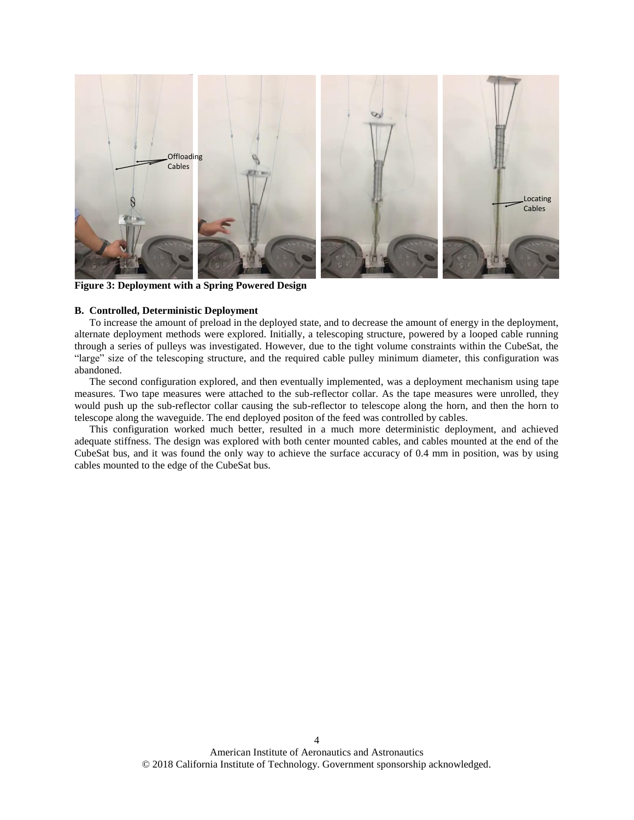

**Figure 3: Deployment with a Spring Powered Design**

### **B. Controlled, Deterministic Deployment**

To increase the amount of preload in the deployed state, and to decrease the amount of energy in the deployment, alternate deployment methods were explored. Initially, a telescoping structure, powered by a looped cable running through a series of pulleys was investigated. However, due to the tight volume constraints within the CubeSat, the "large" size of the telescoping structure, and the required cable pulley minimum diameter, this configuration was abandoned.

The second configuration explored, and then eventually implemented, was a deployment mechanism using tape measures. Two tape measures were attached to the sub-reflector collar. As the tape measures were unrolled, they would push up the sub-reflector collar causing the sub-reflector to telescope along the horn, and then the horn to telescope along the waveguide. The end deployed positon of the feed was controlled by cables.

This configuration worked much better, resulted in a much more deterministic deployment, and achieved adequate stiffness. The design was explored with both center mounted cables, and cables mounted at the end of the CubeSat bus, and it was found the only way to achieve the surface accuracy of 0.4 mm in position, was by using cables mounted to the edge of the CubeSat bus.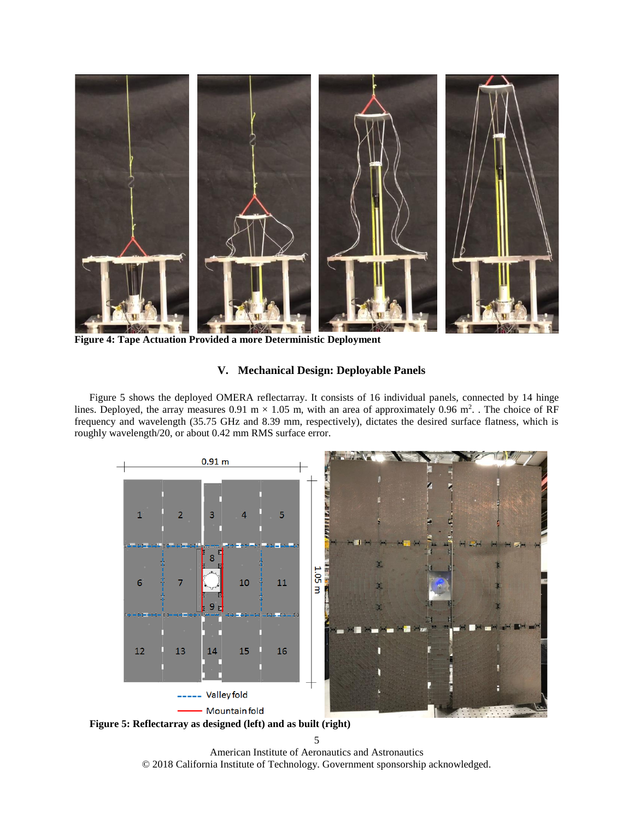

**Figure 4: Tape Actuation Provided a more Deterministic Deployment**

# **V. Mechanical Design: Deployable Panels**

Figure 5 shows the deployed OMERA reflectarray. It consists of 16 individual panels, connected by 14 hinge lines. Deployed, the array measures  $0.91 \text{ m} \times 1.05 \text{ m}$ , with an area of approximately  $0.96 \text{ m}^2$ . The choice of RF frequency and wavelength (35.75 GHz and 8.39 mm, respectively), dictates the desired surface flatness, which is roughly wavelength/20, or about 0.42 mm RMS surface error.



**Figure 5: Reflectarray as designed (left) and as built (right)**

5

American Institute of Aeronautics and Astronautics © 2018 California Institute of Technology. Government sponsorship acknowledged.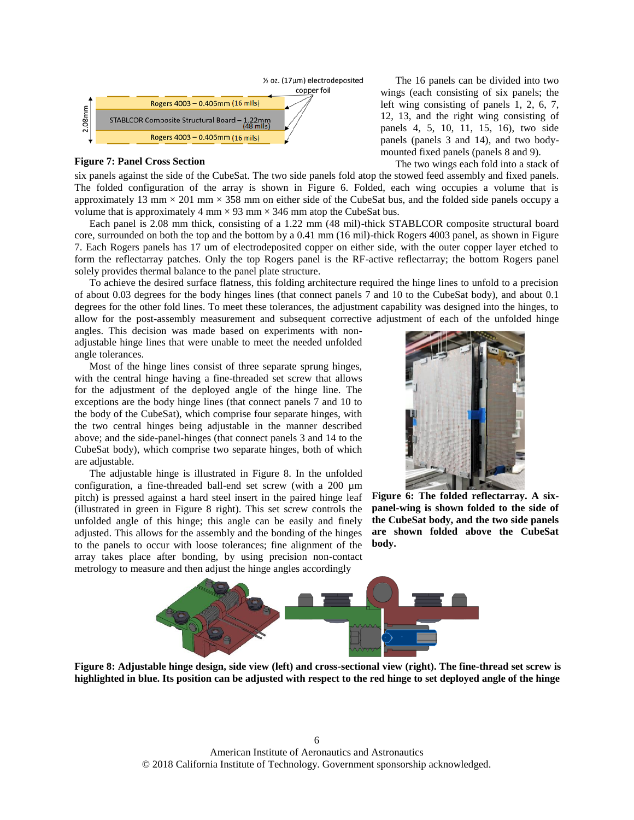

### **Figure 7: Panel Cross Section**

six panels against the side of the CubeSat. The two side panels fold atop the stowed feed assembly and fixed panels. The folded configuration of the array is shown in Figure 6. Folded, each wing occupies a volume that is approximately 13 mm  $\times$  201 mm  $\times$  358 mm on either side of the CubeSat bus, and the folded side panels occupy a volume that is approximately 4 mm  $\times$  93 mm  $\times$  346 mm atop the CubeSat bus.

Each panel is 2.08 mm thick, consisting of a 1.22 mm (48 mil)-thick STABLCOR composite structural board core, surrounded on both the top and the bottom by a 0.41 mm (16 mil)-thick Rogers 4003 panel, as shown in Figure 7. Each Rogers panels has 17 um of electrodeposited copper on either side, with the outer copper layer etched to form the reflectarray patches. Only the top Rogers panel is the RF-active reflectarray; the bottom Rogers panel solely provides thermal balance to the panel plate structure.

To achieve the desired surface flatness, this folding architecture required the hinge lines to unfold to a precision of about 0.03 degrees for the body hinges lines (that connect panels 7 and 10 to the CubeSat body), and about 0.1 degrees for the other fold lines. To meet these tolerances, the adjustment capability was designed into the hinges, to allow for the post-assembly measurement and subsequent corrective adjustment of each of the unfolded hinge

angles. This decision was made based on experiments with nonadjustable hinge lines that were unable to meet the needed unfolded angle tolerances.

Most of the hinge lines consist of three separate sprung hinges, with the central hinge having a fine-threaded set screw that allows for the adjustment of the deployed angle of the hinge line. The exceptions are the body hinge lines (that connect panels 7 and 10 to the body of the CubeSat), which comprise four separate hinges, with the two central hinges being adjustable in the manner described above; and the side-panel-hinges (that connect panels 3 and 14 to the CubeSat body), which comprise two separate hinges, both of which are adjustable.

The adjustable hinge is illustrated in Figure 8. In the unfolded configuration, a fine-threaded ball-end set screw (with a 200 µm pitch) is pressed against a hard steel insert in the paired hinge leaf (illustrated in green in Figure 8 right). This set screw controls the unfolded angle of this hinge; this angle can be easily and finely adjusted. This allows for the assembly and the bonding of the hinges to the panels to occur with loose tolerances; fine alignment of the array takes place after bonding, by using precision non-contact metrology to measure and then adjust the hinge angles accordingly



**Figure 6: The folded reflectarray. A sixpanel-wing is shown folded to the side of the CubeSat body, and the two side panels are shown folded above the CubeSat body.**



**Figure 8: Adjustable hinge design, side view (left) and cross-sectional view (right). The fine-thread set screw is highlighted in blue. Its position can be adjusted with respect to the red hinge to set deployed angle of the hinge**

The 16 panels can be divided into two wings (each consisting of six panels; the left wing consisting of panels 1, 2, 6, 7, 12, 13, and the right wing consisting of panels 4, 5, 10, 11, 15, 16), two side panels (panels 3 and 14), and two bodymounted fixed panels (panels 8 and 9).

The two wings each fold into a stack of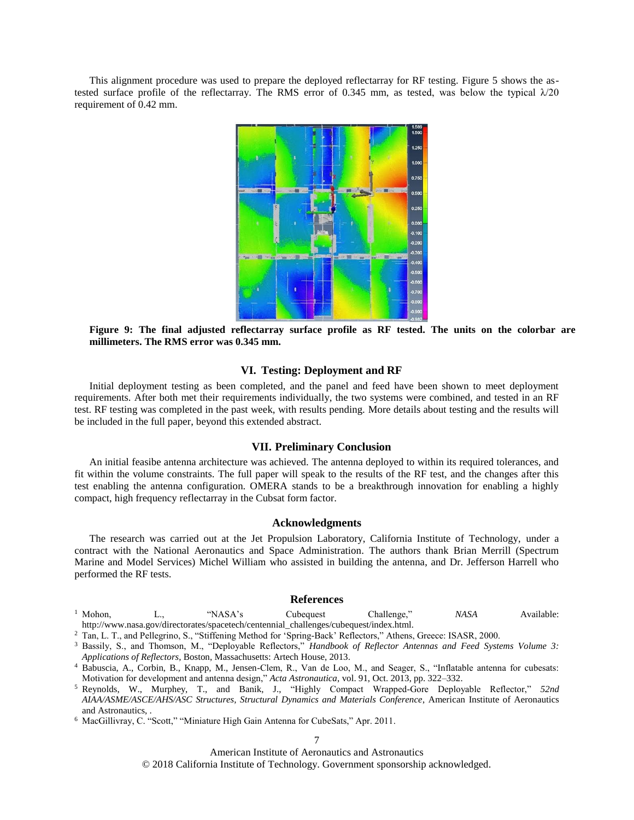This alignment procedure was used to prepare the deployed reflectarray for RF testing. Figure 5 shows the astested surface profile of the reflectarray. The RMS error of 0.345 mm, as tested, was below the typical  $\lambda$ /20 requirement of 0.42 mm.



**Figure 9: The final adjusted reflectarray surface profile as RF tested. The units on the colorbar are millimeters. The RMS error was 0.345 mm.**

# **VI. Testing: Deployment and RF**

Initial deployment testing as been completed, and the panel and feed have been shown to meet deployment requirements. After both met their requirements individually, the two systems were combined, and tested in an RF test. RF testing was completed in the past week, with results pending. More details about testing and the results will be included in the full paper, beyond this extended abstract.

# **VII. Preliminary Conclusion**

An initial feasibe antenna architecture was achieved. The antenna deployed to within its required tolerances, and fit within the volume constraints. The full paper will speak to the results of the RF test, and the changes after this test enabling the antenna configuration. OMERA stands to be a breakthrough innovation for enabling a highly compact, high frequency reflectarray in the Cubsat form factor.

### **Acknowledgments**

The research was carried out at the Jet Propulsion Laboratory, California Institute of Technology, under a contract with the National Aeronautics and Space Administration. The authors thank Brian Merrill (Spectrum Marine and Model Services) Michel William who assisted in building the antenna, and Dr. Jefferson Harrell who performed the RF tests.

### **References**

- <sup>1</sup> Mohon, L., "NASA's Cubequest Challenge," *NASA* Available: http://www.nasa.gov/directorates/spacetech/centennial\_challenges/cubequest/index.html.
- <sup>2</sup> Tan, L. T., and Pellegrino, S., "Stiffening Method for 'Spring-Back' Reflectors," Athens, Greece: ISASR, 2000.
- <sup>3</sup> Bassily, S., and Thomson, M., "Deployable Reflectors," *Handbook of Reflector Antennas and Feed Systems Volume 3: Applications of Reflectors*, Boston, Massachusetts: Artech House, 2013.
- <sup>4</sup> Babuscia, A., Corbin, B., Knapp, M., Jensen-Clem, R., Van de Loo, M., and Seager, S., "Inflatable antenna for cubesats: Motivation for development and antenna design," *Acta Astronautica*, vol. 91, Oct. 2013, pp. 322–332.
- <sup>5</sup> Reynolds, W., Murphey, T., and Banik, J., "Highly Compact Wrapped-Gore Deployable Reflector," *52nd AIAA/ASME/ASCE/AHS/ASC Structures, Structural Dynamics and Materials Conference*, American Institute of Aeronautics and Astronautics, .
- <sup>6</sup> MacGillivray, C. "Scott," "Miniature High Gain Antenna for CubeSats," Apr. 2011.

7

American Institute of Aeronautics and Astronautics

© 2018 California Institute of Technology. Government sponsorship acknowledged.